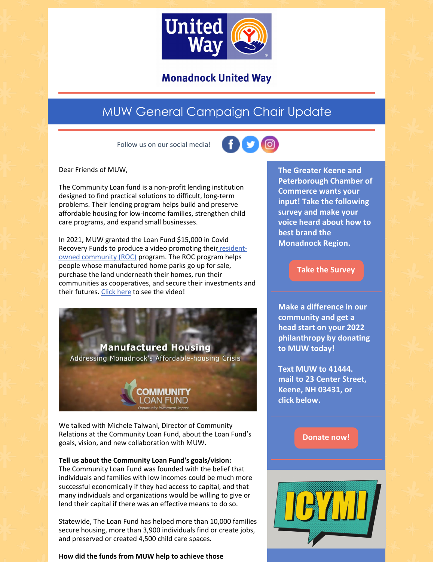

**Monadnock United Way** 

# MUW General Campaign Chair Update

Follow us on our social media!



Dear Friends of MUW,

The Community Loan fund is a non-profit lending institution designed to find practical solutions to difficult, long-term problems. Their lending program helps build and preserve affordable housing for low-income families, strengthen child care programs, and expand small businesses.

In 2021, MUW granted the Loan Fund \$15,000 in Covid Recovery Funds to produce a video promoting their residentowned [community](https://communityloanfund.org/focus/roc-nh/) (ROC) program. The ROC program helps people whose manufactured home parks go up for sale, purchase the land underneath their homes, run their communities as cooperatives, and secure their investments and their futures. [Click](https://www.youtube.com/watch?v=yMX9lkefN4Q) here to see the video!

**Manufactured Housing** Addressing Monadnock's Affordable-housing Crisis

We talked with Michele Talwani, Director of Community Relations at the Community Loan Fund, about the Loan Fund's goals, vision, and new collaboration with MUW.

## **Tell us about the Community Loan Fund's goals/vision:**

The Community Loan Fund was founded with the belief that individuals and families with low incomes could be much more successful economically if they had access to capital, and that many individuals and organizations would be willing to give or lend their capital if there was an effective means to do so.

Statewide, The Loan Fund has helped more than 10,000 families secure housing, more than 3,900 individuals find or create jobs, and preserved or created 4,500 child care spaces.

**How did the funds from MUW help to achieve those**

**The Greater Keene and Peterborough Chamber of Commerce wants your input! Take the following survey and make your voice heard about how to best brand the Monadnock Region.**

## **Take the [Survey](https://northstarideas.az1.qualtrics.com/jfe/form/SV_81WbaTkkJUgIiwK)**

**Make a difference in our community and get a head start on your 2022 philanthropy by donating to MUW today!**

**Text MUW to 41444. mail to 23 Center Street, Keene, NH 03431, or click below.**

**[Donate](https://app.mobilecause.com/form/ZRKvlQ?reset=1&%253Bid=1&vid=oi7n5) now!**